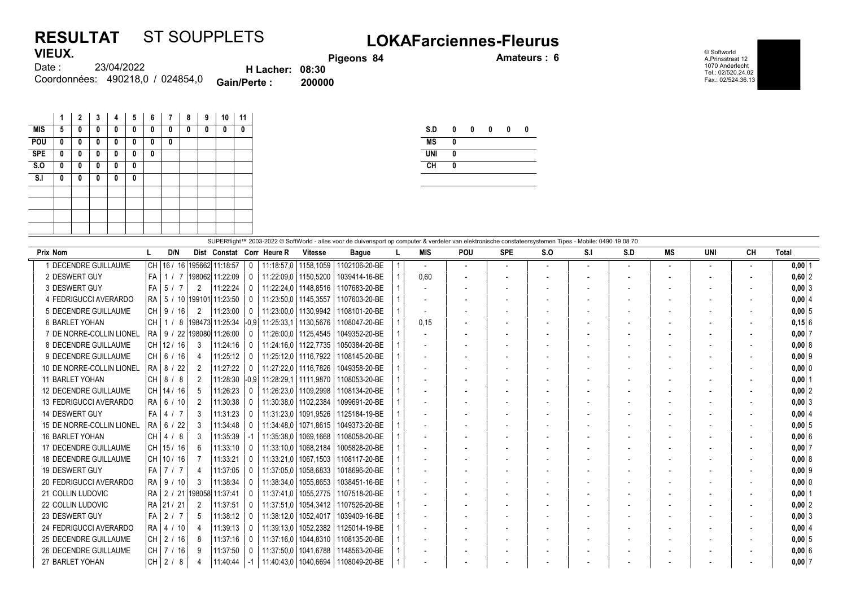## RESULTAT ST SOUPPLETS<br>VIEUX. Pissons 34 Discons and Amateurs: 6 **VIEUX**

eons 84 Amateurs : 6

© Softworld A.Prinsstraat 12 1070 Anderlecht Tel.: 02/520.24.02 Fax.: 02/524.36.13

| 1169/1. |                                  |                        | <b>Pige</b> |
|---------|----------------------------------|------------------------|-------------|
| Date :  | 23/04/2022                       | <b>H</b> Lacher: 08:30 |             |
|         | Coordonnées: 490218.0 / 024854.0 | <b>Gain/Perte:</b>     | 200000      |

| 1 | $\mathbf{2}$ | 3 | 4 | 5 | 6 | 7 | 8 | 9 | 10 | 11 |
|---|--------------|---|---|---|---|---|---|---|----|----|
| 5 | 0            | 0 | 0 | 0 | 0 | 0 | 0 | 0 | 0  | 0  |
| 0 | 0            | 0 | 0 | 0 | 0 | 0 |   |   |    |    |
| 0 | $\mathbf{0}$ | 0 | 0 | 0 | 0 |   |   |   |    |    |
| 0 | 0            | 0 | 0 | 0 |   |   |   |   |    |    |
| 0 | 0            | 0 | 0 | 0 |   |   |   |   |    |    |
|   |              |   |   |   |   |   |   |   |    |    |
|   |              |   |   |   |   |   |   |   |    |    |
|   |              |   |   |   |   |   |   |   |    |    |
|   |              |   |   |   |   |   |   |   |    |    |
|   |              |   |   |   |   |   |   |   |    |    |

| S.D        | 0 | 0 | 0 | 0 | 0 |
|------------|---|---|---|---|---|
| <b>MS</b>  | 0 |   |   |   |   |
| <b>UNI</b> | 0 |   |   |   |   |
| CH         | 0 |   |   |   |   |
|            |   |   |   |   |   |

|                              | SUPERflight™ 2003-2022 © SoftWorld - alles voor de duivensport op computer & verdeler van elektronische constateersystemen Tipes - Mobile: 0490 19 08 70 |              |                |               |                                 |          |                           |                        |                                        |  |                          |                          |                          |                          |     |     |                          |     |    |            |
|------------------------------|----------------------------------------------------------------------------------------------------------------------------------------------------------|--------------|----------------|---------------|---------------------------------|----------|---------------------------|------------------------|----------------------------------------|--|--------------------------|--------------------------|--------------------------|--------------------------|-----|-----|--------------------------|-----|----|------------|
| <b>Prix Nom</b>              |                                                                                                                                                          |              | D/N            |               |                                 |          | Dist Constat Corr Heure R | <b>Vitesse</b>         | <b>Bague</b>                           |  | <b>MIS</b>               | <b>POU</b>               | <b>SPE</b>               | S.O                      | S.I | S.D | MS                       | UNI | CН | Total      |
| 1 DECENDRE GUILLAUME         |                                                                                                                                                          |              |                |               | CH 16 / 16 195662 11:18:57      |          |                           | 11:18:57.0   1158.1059 | 1102106-20-BE                          |  |                          | $\overline{\phantom{a}}$ | $\overline{\phantom{a}}$ | $\overline{\phantom{a}}$ |     |     | $\overline{\phantom{a}}$ |     |    | $0,00$  1  |
| 2 DESWERT GUY                | l FA                                                                                                                                                     |              |                |               | / 7   198062   11:22:09         |          | 11:22:09.0   1150.5200    |                        | 1039414-16-BE                          |  | 0,60                     |                          |                          |                          |     |     | $\overline{\phantom{a}}$ |     |    | $0,60$   2 |
| 3 DESWERT GUY                | l FA                                                                                                                                                     | 5 /          |                | 2             | 11:22:24                        |          |                           | 11:22:24.0   1148.8516 | 1107683-20-BE                          |  |                          |                          |                          |                          |     |     | $\overline{\phantom{a}}$ |     |    | $0,00$ 3   |
| 4 FEDRIGUCCI AVERARDO        |                                                                                                                                                          |              |                |               | RA   5 / 10   199101   11:23:50 |          | 11:23:50.0   1145.3557    |                        | 1107603-20-BE                          |  | $\overline{\phantom{a}}$ |                          |                          |                          |     |     | $\overline{\phantom{a}}$ |     |    | 0,00   4   |
| 5 DECENDRE GUILLAUME         |                                                                                                                                                          |              | 16             | 2             | 11:23:00                        |          |                           |                        | 11:23:00.0   1130.9942   1108101-20-BE |  |                          |                          |                          |                          |     |     |                          |     |    | 0,005      |
| <b>6 BARLET YOHAN</b>        | l CH                                                                                                                                                     |              |                |               | 8 198473 11:25:34               | $ -0.9 $ | 11:25:33.1                |                        | 1130.5676 1108047-20-BE                |  | 0.15                     |                          |                          |                          |     |     |                          |     |    | 0,156      |
| 7 DE NORRE-COLLIN LIONEL     |                                                                                                                                                          |              |                |               | RA   9 / 22 198080 11:26:00     |          |                           |                        | 11:26:00.0   1125.4545   1049352-20-BE |  |                          |                          |                          |                          |     |     |                          |     |    | 0,007      |
| 8 DECENDRE GUILLAUME         |                                                                                                                                                          |              | CH   12 / 16   | 3             | 11:24:16                        |          |                           | 11:24:16.0   1122.7735 | 1050384-20-BE                          |  |                          |                          |                          |                          |     |     |                          |     |    | 0,00   8   |
| 9 DECENDRE GUILLAUME         |                                                                                                                                                          |              | CH 6/16        |               | 11:25:12                        |          |                           |                        | 11:25:12.0   1116.7922   1108145-20-BE |  |                          |                          |                          |                          |     |     | $\overline{\phantom{a}}$ |     |    | $0,00$ 9   |
| 10 DE NORRE-COLLIN LIONEL    |                                                                                                                                                          | RA   8 / 22  |                | 2             | 11:27:22                        | $\Omega$ |                           | 11:27:22.0   1116.7826 | 1049358-20-BE                          |  |                          |                          |                          |                          |     |     |                          |     |    | 0,000      |
| <b>11 BARLET YOHAN</b>       | l CH                                                                                                                                                     | 8/8          |                | 2             | 11:28:30                        | $-0.9$   |                           | 11:28:29.1   1111.9870 | 1108053-20-BE                          |  |                          |                          |                          |                          |     |     |                          |     |    | $0,00$   1 |
| <b>12 DECENDRE GUILLAUME</b> | CH   14 / 16                                                                                                                                             |              |                | 5             | 11:26:23                        |          |                           |                        | 11:26:23.0   1109.2998   1108134-20-BE |  |                          |                          |                          |                          |     |     |                          |     |    | 0.00 2     |
| 13 FEDRIGUCCI AVERARDO       |                                                                                                                                                          | RA   6 / 10  |                | $\mathcal{P}$ | 11:30:38                        |          |                           | 11:30:38.0   1102.2384 | 1099691-20-BE                          |  |                          |                          |                          |                          |     |     |                          |     |    | $0,00$ 3   |
| 14 DESWERT GUY               | l FA                                                                                                                                                     | 4            | 1 <sub>7</sub> | 3             | 11:31:23                        |          | 11:31:23.0                | 1091.9526              | 1125184-19-BE                          |  |                          |                          |                          |                          |     |     |                          |     |    | 0.00   4   |
| 15 DE NORRE-COLLIN LIONEL    |                                                                                                                                                          | $RA$ 6 /     | 22             | 3             | 11:34:48                        |          | 11:34:48.0                | 1071.8615              | 1049373-20-BE                          |  | $\overline{\phantom{a}}$ |                          |                          |                          |     |     | $\overline{\phantom{a}}$ |     |    | $0,00$ 5   |
| <b>16 BARLET YOHAN</b>       | l CH                                                                                                                                                     | 4 / 8        |                | 3             | 11:35:39                        |          | 11:35:38.0                | 1069.1668              | 1108058-20-BE                          |  |                          |                          |                          |                          |     |     |                          |     |    | 0,006      |
| 17 DECENDRE GUILLAUME        | CH 15/16                                                                                                                                                 |              |                | 6             | 11:33:10                        |          | 11:33:10.0                | 1068.2184              | 1005828-20-BE                          |  | $\overline{\phantom{a}}$ |                          |                          |                          |     |     |                          |     |    | 0,007      |
| <b>18 DECENDRE GUILLAUME</b> |                                                                                                                                                          | CH   10 / 16 |                |               | 11:33:21                        |          | 11:33:21.0                | 1067.1503              | 1108117-20-BE                          |  |                          |                          |                          |                          |     |     |                          |     |    | 0.0018     |
| 19 DESWERT GUY               |                                                                                                                                                          | FA 7 / 7     |                | 4             | 11:37:05                        |          | 11:37:05.0                | 1058.6833              | 1018696-20-BE                          |  | $\overline{\phantom{a}}$ |                          |                          |                          |     |     | $\overline{\phantom{a}}$ |     |    | $0,00$  9  |
| 20 FEDRIGUCCI AVERARDO       |                                                                                                                                                          | RA   9 / 10  |                | 3             | 11:38:34                        |          | 11:38:34,0                | 1055,8653              | 1038451-16-BE                          |  |                          |                          |                          |                          |     |     | $\overline{\phantom{a}}$ |     |    | 0,000      |
| 21 COLLIN LUDOVIC            | l RA                                                                                                                                                     |              |                |               | 2 / 21 198058 11:37:41          |          | 11:37:41.0                |                        | 1055,2775   1107518-20-BE              |  |                          |                          |                          |                          |     |     |                          |     |    | $0,00$   1 |
| 22 COLLIN LUDOVIC            |                                                                                                                                                          | RA   21 / 21 |                | 2             | 11:37:51                        |          | 11:37:51,0                |                        | 1054.3412   1107526-20-BE              |  |                          |                          |                          |                          |     |     |                          |     |    | $0,00$ 2   |
| 23 DESWERT GUY               | l FA                                                                                                                                                     | 2/7          |                | 5             | 11:38:12                        |          | 11:38:12.0                | 1052.4017              | 1039409-16-BE                          |  |                          |                          |                          |                          |     |     |                          |     |    | $0,00$ 3   |
| 24 FEDRIGUCCI AVERARDO       |                                                                                                                                                          | RA   4 / 10  |                |               | 11:39:13                        |          | 11:39:13.0                |                        | 1052,2382   1125014-19-BE              |  |                          |                          |                          |                          |     |     |                          |     |    | 0,00   4   |
| 25 DECENDRE GUILLAUME        |                                                                                                                                                          | CH   2 / 16  |                | 8             | 11:37:16                        |          |                           | 11:37:16.0   1044.8310 | 1108135-20-BE                          |  |                          |                          |                          |                          |     |     |                          |     |    | 0.0015     |
| <b>26 DECENDRE GUILLAUME</b> |                                                                                                                                                          |              | CH   7 / 16    | 9             | 11:37:50                        |          | 11:37:50.0                |                        | 1041.6788   1148563-20-BE              |  | $\overline{\phantom{a}}$ |                          |                          |                          |     |     | $\overline{\phantom{a}}$ |     |    | 0.00 6     |
| 27 BARLET YOHAN              | CH                                                                                                                                                       | 2/8          |                |               | 11:40:44                        | -1       |                           |                        | 11:40:43,0   1040,6694   1108049-20-BE |  |                          |                          |                          |                          |     |     |                          |     |    | 0,007      |